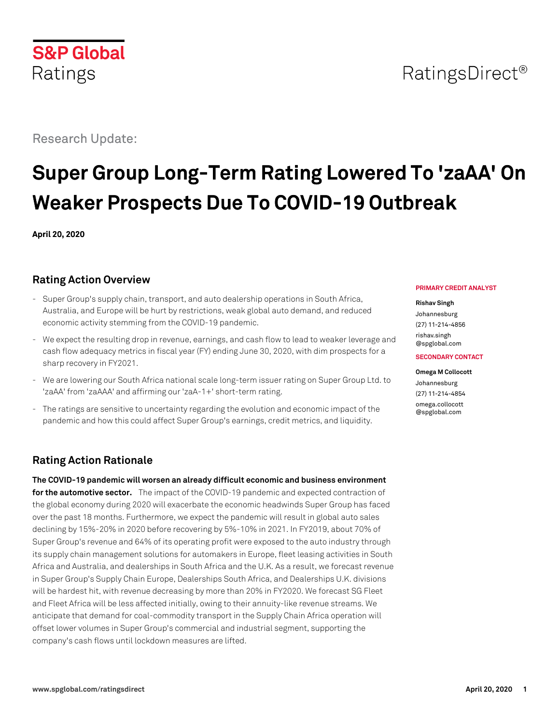

## RatingsDirect<sup>®</sup>

## Research Update:

# **Super Group Long-Term Rating Lowered To 'zaAA' On Weaker Prospects Due To COVID-19 Outbreak**

**April 20, 2020**

## **Rating Action Overview**

- Super Group's supply chain, transport, and auto dealership operations in South Africa, Australia, and Europe will be hurt by restrictions, weak global auto demand, and reduced economic activity stemming from the COVID-19 pandemic.
- We expect the resulting drop in revenue, earnings, and cash flow to lead to weaker leverage and cash flow adequacy metrics in fiscal year (FY) ending June 30, 2020, with dim prospects for a sharp recovery in FY2021.
- We are lowering our South Africa national scale long-term issuer rating on Super Group Ltd. to 'zaAA' from 'zaAAA' and affirming our 'zaA-1+' short-term rating.
- The ratings are sensitive to uncertainty regarding the evolution and economic impact of the pandemic and how this could affect Super Group's earnings, credit metrics, and liquidity.

## **Rating Action Rationale**

**The COVID-19 pandemic will worsen an already difficult economic and business environment for the automotive sector.** The impact of the COVID-19 pandemic and expected contraction of the global economy during 2020 will exacerbate the economic headwinds Super Group has faced over the past 18 months. Furthermore, we expect the pandemic will result in global auto sales declining by 15%-20% in 2020 before recovering by 5%-10% in 2021. In FY2019, about 70% of Super Group's revenue and 64% of its operating profit were exposed to the auto industry through its supply chain management solutions for automakers in Europe, fleet leasing activities in South Africa and Australia, and dealerships in South Africa and the U.K. As a result, we forecast revenue in Super Group's Supply Chain Europe, Dealerships South Africa, and Dealerships U.K. divisions will be hardest hit, with revenue decreasing by more than 20% in FY2020. We forecast SG Fleet and Fleet Africa will be less affected initially, owing to their annuity-like revenue streams. We anticipate that demand for coal-commodity transport in the Supply Chain Africa operation will offset lower volumes in Super Group's commercial and industrial segment, supporting the company's cash flows until lockdown measures are lifted.

#### **PRIMARY CREDIT ANALYST**

#### **Rishav Singh**

Johannesburg (27) 11-214-4856 [rishav.singh](mailto:rishav.singh@spglobal.com)

[@spglobal.com](mailto:rishav.singh@spglobal.com)

#### **SECONDARY CONTACT**

**Omega M Collocott** Johannesburg (27) 11-214-4854 [omega.collocott](mailto:omega.collocott@spglobal.com) [@spglobal.com](mailto:omega.collocott@spglobal.com)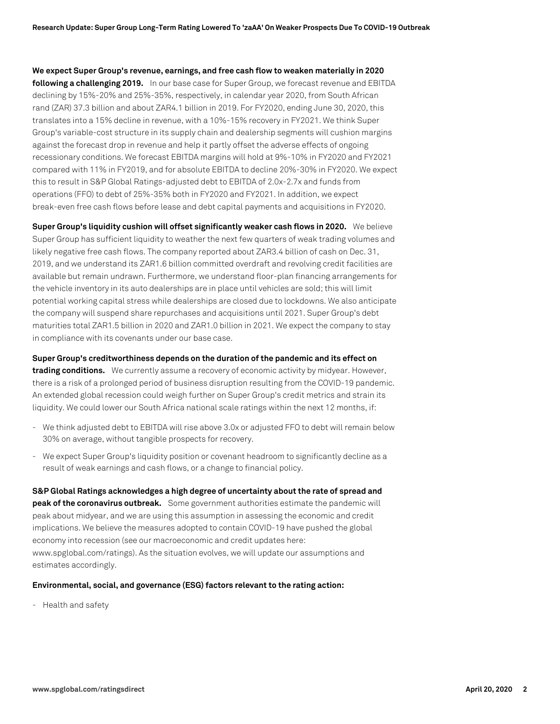**We expect Super Group's revenue, earnings, and free cash flow to weaken materially in 2020 following a challenging 2019.** In our base case for Super Group, we forecast revenue and EBITDA declining by 15%-20% and 25%-35%, respectively, in calendar year 2020, from South African rand (ZAR) 37.3 billion and about ZAR4.1 billion in 2019. For FY2020, ending June 30, 2020, this translates into a 15% decline in revenue, with a 10%-15% recovery in FY2021. We think Super Group's variable-cost structure in its supply chain and dealership segments will cushion margins against the forecast drop in revenue and help it partly offset the adverse effects of ongoing recessionary conditions. We forecast EBITDA margins will hold at 9%-10% in FY2020 and FY2021 compared with 11% in FY2019, and for absolute EBITDA to decline 20%-30% in FY2020. We expect this to result in S&P Global Ratings-adjusted debt to EBITDA of 2.0x-2.7x and funds from operations (FFO) to debt of 25%-35% both in FY2020 and FY2021. In addition, we expect break-even free cash flows before lease and debt capital payments and acquisitions in FY2020.

**Super Group's liquidity cushion will offset significantly weaker cash flows in 2020.** We believe Super Group has sufficient liquidity to weather the next few quarters of weak trading volumes and likely negative free cash flows. The company reported about ZAR3.4 billion of cash on Dec. 31, 2019, and we understand its ZAR1.6 billion committed overdraft and revolving credit facilities are available but remain undrawn. Furthermore, we understand floor-plan financing arrangements for the vehicle inventory in its auto dealerships are in place until vehicles are sold; this will limit potential working capital stress while dealerships are closed due to lockdowns. We also anticipate the company will suspend share repurchases and acquisitions until 2021. Super Group's debt maturities total ZAR1.5 billion in 2020 and ZAR1.0 billion in 2021. We expect the company to stay in compliance with its covenants under our base case.

**Super Group's creditworthiness depends on the duration of the pandemic and its effect on**

**trading conditions.** We currently assume a recovery of economic activity by midyear. However, there is a risk of a prolonged period of business disruption resulting from the COVID-19 pandemic. An extended global recession could weigh further on Super Group's credit metrics and strain its liquidity. We could lower our South Africa national scale ratings within the next 12 months, if:

- We think adjusted debt to EBITDA will rise above 3.0x or adjusted FFO to debt will remain below 30% on average, without tangible prospects for recovery.
- We expect Super Group's liquidity position or covenant headroom to significantly decline as a result of weak earnings and cash flows, or a change to financial policy.

**S&P Global Ratings acknowledges a high degree of uncertainty about the rate of spread and peak of the coronavirus outbreak.** Some government authorities estimate the pandemic will peak about midyear, and we are using this assumption in assessing the economic and credit implications. We believe the measures adopted to contain COVID-19 have pushed the global economy into recession (see our macroeconomic and credit updates here: www.spglobal.com/ratings). As the situation evolves, we will update our assumptions and estimates accordingly.

#### **Environmental, social, and governance (ESG) factors relevant to the rating action:**

- Health and safety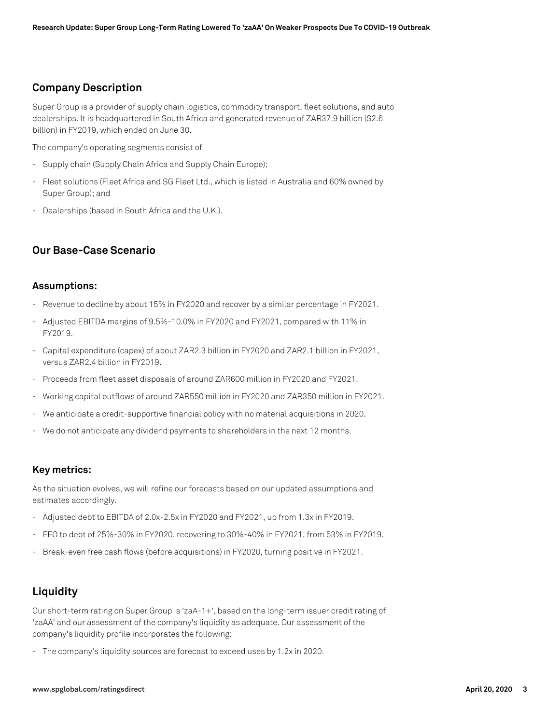#### **Company Description**

Super Group is a provider of supply chain logistics, commodity transport, fleet solutions, and auto dealerships. It is headquartered in South Africa and generated revenue of ZAR37.9 billion (\$2.6 billion) in FY2019, which ended on June 30.

The company's operating segments consist of

- Supply chain (Supply Chain Africa and Supply Chain Europe);
- Fleet solutions (Fleet Africa and SG Fleet Ltd., which is listed in Australia and 60% owned by Super Group); and
- Dealerships (based in South Africa and the U.K.).

#### **Our Base-Case Scenario**

#### **Assumptions:**

- Revenue to decline by about 15% in FY2020 and recover by a similar percentage in FY2021.
- Adjusted EBITDA margins of 9.5%-10.0% in FY2020 and FY2021, compared with 11% in FY2019.
- Capital expenditure (capex) of about ZAR2.3 billion in FY2020 and ZAR2.1 billion in FY2021, versus ZAR2.4 billion in FY2019.
- Proceeds from fleet asset disposals of around ZAR600 million in FY2020 and FY2021.
- Working capital outflows of around ZAR550 million in FY2020 and ZAR350 million in FY2021.
- We anticipate a credit-supportive financial policy with no material acquisitions in 2020.
- We do not anticipate any dividend payments to shareholders in the next 12 months.

#### **Key metrics:**

As the situation evolves, we will refine our forecasts based on our updated assumptions and estimates accordingly.

- Adjusted debt to EBITDA of 2.0x-2.5x in FY2020 and FY2021, up from 1.3x in FY2019.
- FFO to debt of 25%-30% in FY2020, recovering to 30%-40% in FY2021, from 53% in FY2019.
- Break-even free cash flows (before acquisitions) in FY2020, turning positive in FY2021.

## **Liquidity**

Our short-term rating on Super Group is 'zaA-1+', based on the long-term issuer credit rating of 'zaAA' and our assessment of the company's liquidity as adequate. Our assessment of the company's liquidity profile incorporates the following:

- The company's liquidity sources are forecast to exceed uses by 1.2x in 2020.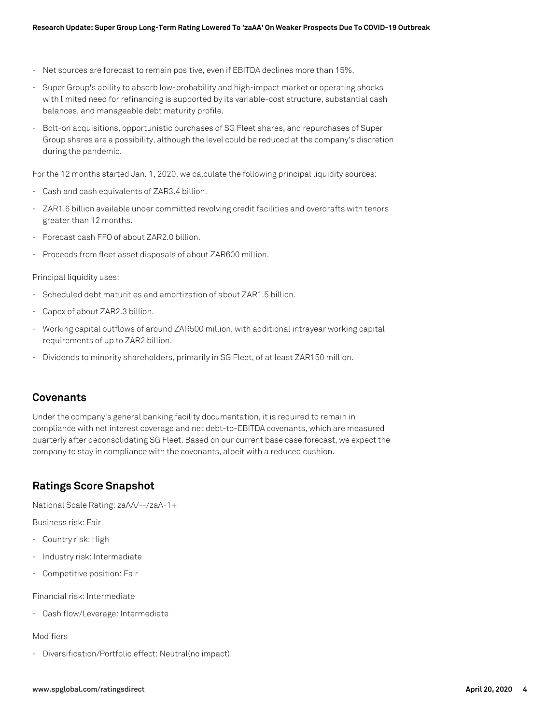- Net sources are forecast to remain positive, even if EBITDA declines more than 15%.
- Super Group's ability to absorb low-probability and high-impact market or operating shocks with limited need for refinancing is supported by its variable-cost structure, substantial cash balances, and manageable debt maturity profile.
- Bolt-on acquisitions, opportunistic purchases of SG Fleet shares, and repurchases of Super Group shares are a possibility, although the level could be reduced at the company's discretion during the pandemic.

For the 12 months started Jan. 1, 2020, we calculate the following principal liquidity sources:

- Cash and cash equivalents of ZAR3.4 billion.
- ZAR1.6 billion available under committed revolving credit facilities and overdrafts with tenors greater than 12 months.
- Forecast cash FFO of about ZAR2.0 billion.
- Proceeds from fleet asset disposals of about ZAR600 million.

#### Principal liquidity uses:

- Scheduled debt maturities and amortization of about ZAR1.5 billion.
- Capex of about ZAR2.3 billion.
- Working capital outflows of around ZAR500 million, with additional intrayear working capital requirements of up to ZAR2 billion.
- Dividends to minority shareholders, primarily in SG Fleet, of at least ZAR150 million.

#### **Covenants**

Under the company's general banking facility documentation, it is required to remain in compliance with net interest coverage and net debt-to-EBITDA covenants, which are measured quarterly after deconsolidating SG Fleet. Based on our current base case forecast, we expect the company to stay in compliance with the covenants, albeit with a reduced cushion.

## **Ratings Score Snapshot**

National Scale Rating: zaAA/--/zaA-1+

Business risk: Fair

- Country risk: High
- Industry risk: Intermediate
- Competitive position: Fair

Financial risk: Intermediate

- Cash flow/Leverage: Intermediate

#### Modifiers

- Diversification/Portfolio effect: Neutral(no impact)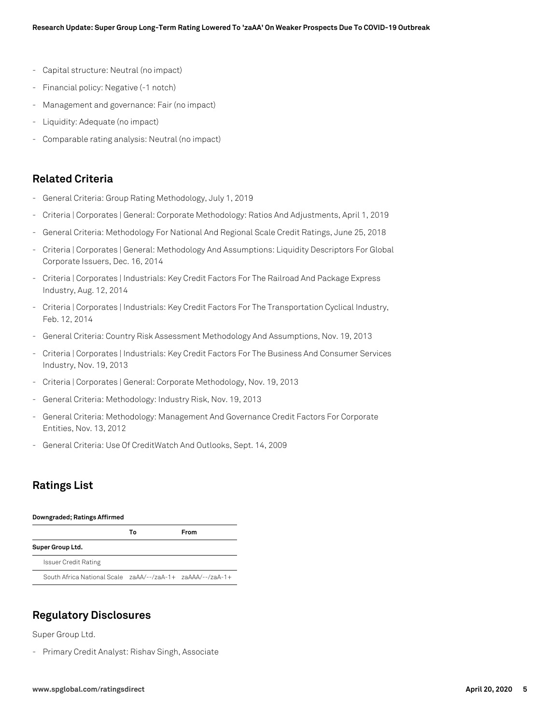- Capital structure: Neutral (no impact)
- Financial policy: Negative (-1 notch)
- Management and governance: Fair (no impact)
- Liquidity: Adequate (no impact)
- Comparable rating analysis: Neutral (no impact)

## **Related Criteria**

- General Criteria: Group Rating Methodology, July 1, 2019
- Criteria | Corporates | General: Corporate Methodology: Ratios And Adjustments, April 1, 2019
- General Criteria: Methodology For National And Regional Scale Credit Ratings, June 25, 2018
- Criteria | Corporates | General: Methodology And Assumptions: Liquidity Descriptors For Global Corporate Issuers, Dec. 16, 2014
- Criteria | Corporates | Industrials: Key Credit Factors For The Railroad And Package Express Industry, Aug. 12, 2014
- Criteria | Corporates | Industrials: Key Credit Factors For The Transportation Cyclical Industry, Feb. 12, 2014
- General Criteria: Country Risk Assessment Methodology And Assumptions, Nov. 19, 2013
- Criteria | Corporates | Industrials: Key Credit Factors For The Business And Consumer Services Industry, Nov. 19, 2013
- Criteria | Corporates | General: Corporate Methodology, Nov. 19, 2013
- General Criteria: Methodology: Industry Risk, Nov. 19, 2013
- General Criteria: Methodology: Management And Governance Credit Factors For Corporate Entities, Nov. 13, 2012
- General Criteria: Use Of CreditWatch And Outlooks, Sept. 14, 2009

## **Ratings List**

#### **Downgraded; Ratings Affirmed**

|                                                            | Тο | From |
|------------------------------------------------------------|----|------|
| Super Group Ltd.                                           |    |      |
| <b>Issuer Credit Rating</b>                                |    |      |
| South Africa National Scale zaAA/--/zaA-1+ zaAAA/--/zaA-1+ |    |      |

#### **Regulatory Disclosures**

Super Group Ltd.

- Primary Credit Analyst: Rishav Singh, Associate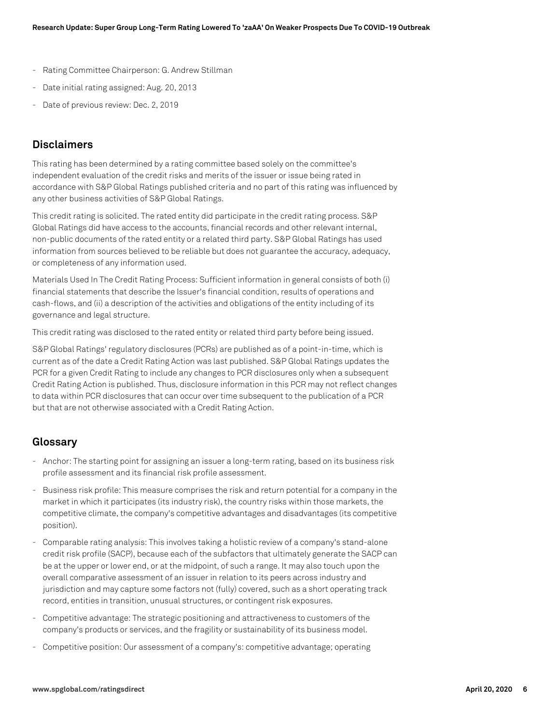- Rating Committee Chairperson: G. Andrew Stillman
- Date initial rating assigned: Aug. 20, 2013
- Date of previous review: Dec. 2, 2019

### **Disclaimers**

This rating has been determined by a rating committee based solely on the committee's independent evaluation of the credit risks and merits of the issuer or issue being rated in accordance with S&P Global Ratings published criteria and no part of this rating was influenced by any other business activities of S&P Global Ratings.

This credit rating is solicited. The rated entity did participate in the credit rating process. S&P Global Ratings did have access to the accounts, financial records and other relevant internal, non-public documents of the rated entity or a related third party. S&P Global Ratings has used information from sources believed to be reliable but does not guarantee the accuracy, adequacy, or completeness of any information used.

Materials Used In The Credit Rating Process: Sufficient information in general consists of both (i) financial statements that describe the Issuer's financial condition, results of operations and cash-flows, and (ii) a description of the activities and obligations of the entity including of its governance and legal structure.

This credit rating was disclosed to the rated entity or related third party before being issued.

S&P Global Ratings' regulatory disclosures (PCRs) are published as of a point-in-time, which is current as of the date a Credit Rating Action was last published. S&P Global Ratings updates the PCR for a given Credit Rating to include any changes to PCR disclosures only when a subsequent Credit Rating Action is published. Thus, disclosure information in this PCR may not reflect changes to data within PCR disclosures that can occur over time subsequent to the publication of a PCR but that are not otherwise associated with a Credit Rating Action.

#### **Glossary**

- Anchor: The starting point for assigning an issuer a long-term rating, based on its business risk profile assessment and its financial risk profile assessment.
- Business risk profile: This measure comprises the risk and return potential for a company in the market in which it participates (its industry risk), the country risks within those markets, the competitive climate, the company's competitive advantages and disadvantages (its competitive position).
- Comparable rating analysis: This involves taking a holistic review of a company's stand-alone credit risk profile (SACP), because each of the subfactors that ultimately generate the SACP can be at the upper or lower end, or at the midpoint, of such a range. It may also touch upon the overall comparative assessment of an issuer in relation to its peers across industry and jurisdiction and may capture some factors not (fully) covered, such as a short operating track record, entities in transition, unusual structures, or contingent risk exposures.
- Competitive advantage: The strategic positioning and attractiveness to customers of the company's products or services, and the fragility or sustainability of its business model.
- Competitive position: Our assessment of a company's: competitive advantage; operating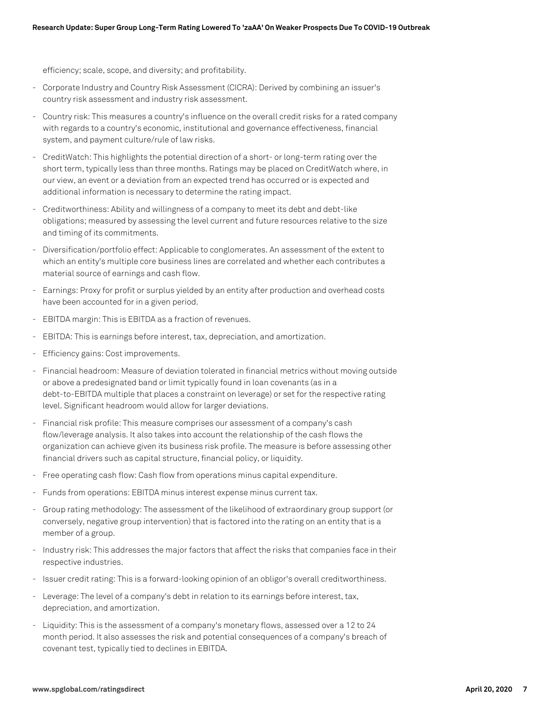efficiency; scale, scope, and diversity; and profitability.

- Corporate Industry and Country Risk Assessment (CICRA): Derived by combining an issuer's country risk assessment and industry risk assessment.
- Country risk: This measures a country's influence on the overall credit risks for a rated company with regards to a country's economic, institutional and governance effectiveness, financial system, and payment culture/rule of law risks.
- CreditWatch: This highlights the potential direction of a short- or long-term rating over the short term, typically less than three months. Ratings may be placed on CreditWatch where, in our view, an event or a deviation from an expected trend has occurred or is expected and additional information is necessary to determine the rating impact.
- Creditworthiness: Ability and willingness of a company to meet its debt and debt-like obligations; measured by assessing the level current and future resources relative to the size and timing of its commitments.
- Diversification/portfolio effect: Applicable to conglomerates. An assessment of the extent to which an entity's multiple core business lines are correlated and whether each contributes a material source of earnings and cash flow.
- Earnings: Proxy for profit or surplus yielded by an entity after production and overhead costs have been accounted for in a given period.
- EBITDA margin: This is EBITDA as a fraction of revenues.
- EBITDA: This is earnings before interest, tax, depreciation, and amortization.
- Efficiency gains: Cost improvements.
- Financial headroom: Measure of deviation tolerated in financial metrics without moving outside or above a predesignated band or limit typically found in loan covenants (as in a debt-to-EBITDA multiple that places a constraint on leverage) or set for the respective rating level. Significant headroom would allow for larger deviations.
- Financial risk profile: This measure comprises our assessment of a company's cash flow/leverage analysis. It also takes into account the relationship of the cash flows the organization can achieve given its business risk profile. The measure is before assessing other financial drivers such as capital structure, financial policy, or liquidity.
- Free operating cash flow: Cash flow from operations minus capital expenditure.
- Funds from operations: EBITDA minus interest expense minus current tax.
- Group rating methodology: The assessment of the likelihood of extraordinary group support (or conversely, negative group intervention) that is factored into the rating on an entity that is a member of a group.
- Industry risk: This addresses the major factors that affect the risks that companies face in their respective industries.
- Issuer credit rating: This is a forward-looking opinion of an obligor's overall creditworthiness.
- Leverage: The level of a company's debt in relation to its earnings before interest, tax, depreciation, and amortization.
- Liquidity: This is the assessment of a company's monetary flows, assessed over a 12 to 24 month period. It also assesses the risk and potential consequences of a company's breach of covenant test, typically tied to declines in EBITDA.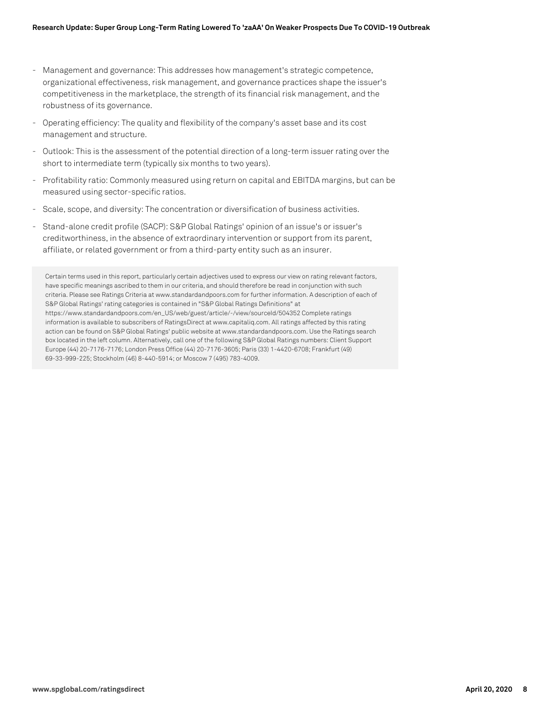- Management and governance: This addresses how management's strategic competence, organizational effectiveness, risk management, and governance practices shape the issuer's competitiveness in the marketplace, the strength of its financial risk management, and the robustness of its governance.
- Operating efficiency: The quality and flexibility of the company's asset base and its cost management and structure.
- Outlook: This is the assessment of the potential direction of a long-term issuer rating over the short to intermediate term (typically six months to two years).
- Profitability ratio: Commonly measured using return on capital and EBITDA margins, but can be measured using sector-specific ratios.
- Scale, scope, and diversity: The concentration or diversification of business activities.
- Stand-alone credit profile (SACP): S&P Global Ratings' opinion of an issue's or issuer's creditworthiness, in the absence of extraordinary intervention or support from its parent, affiliate, or related government or from a third-party entity such as an insurer.

Certain terms used in this report, particularly certain adjectives used to express our view on rating relevant factors, have specific meanings ascribed to them in our criteria, and should therefore be read in conjunction with such criteria. Please see Ratings Criteria at www.standardandpoors.com for further information. A description of each of S&P Global Ratings' rating categories is contained in "S&P Global Ratings Definitions" at https://www.standardandpoors.com/en\_US/web/guest/article/-/view/sourceId/504352 Complete ratings information is available to subscribers of RatingsDirect at www.capitaliq.com. All ratings affected by this rating action can be found on S&P Global Ratings' public website at www.standardandpoors.com. Use the Ratings search box located in the left column. Alternatively, call one of the following S&P Global Ratings numbers: Client Support Europe (44) 20-7176-7176; London Press Office (44) 20-7176-3605; Paris (33) 1-4420-6708; Frankfurt (49) 69-33-999-225; Stockholm (46) 8-440-5914; or Moscow 7 (495) 783-4009.